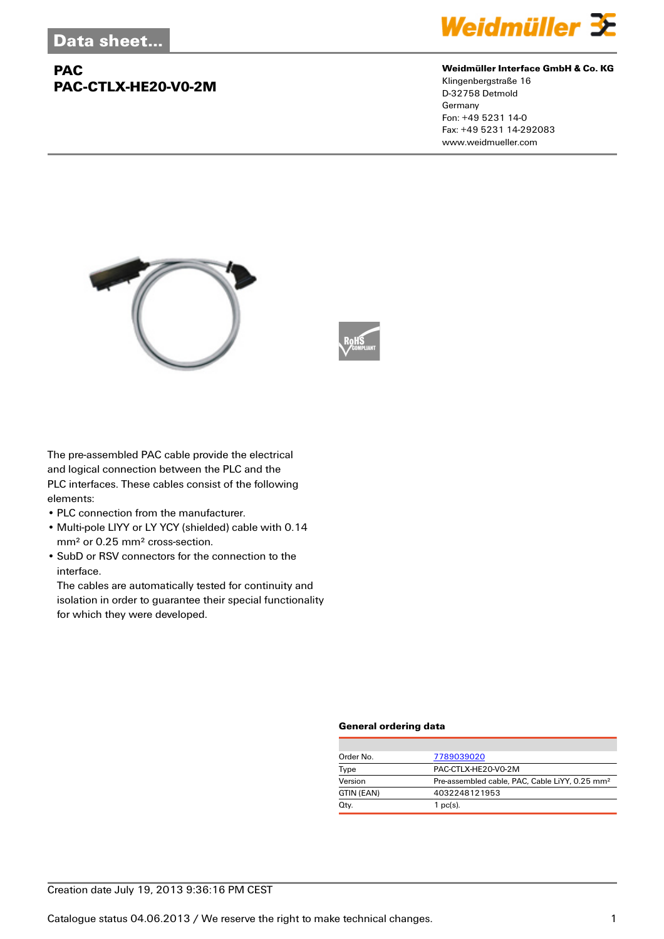## **PAC PAC-CTLX-HE20-V0-2M**



#### **Weidmüller Interface GmbH & Co. KG**

Klingenbergstraße 16 D-32758 Detmold Germany Fon: +49 5231 14-0 Fax: +49 5231 14-292083 www.weidmueller.com





The pre-assembled PAC cable provide the electrical and logical connection between the PLC and the PLC interfaces. These cables consist of the following elements:

- PLC connection from the manufacturer.
- Multi-pole LIYY or LY YCY (shielded) cable with 0.14 mm² or 0.25 mm² cross-section.
- SubD or RSV connectors for the connection to the interface.

The cables are automatically tested for continuity and isolation in order to guarantee their special functionality for which they were developed.

#### **General ordering data**

| Order No.  | 7789039020                                                 |
|------------|------------------------------------------------------------|
| Type       | PAC-CTLX-HE20-V0-2M                                        |
| Version    | Pre-assembled cable, PAC, Cable LiYY, 0.25 mm <sup>2</sup> |
| GTIN (EAN) | 4032248121953                                              |
| Qty.       | $1$ pc(s).                                                 |